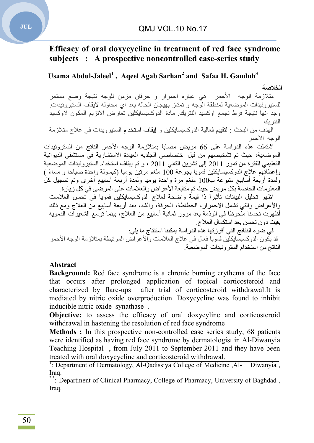# **Efficacy of oral doxycycline in treatment of red face syndrome subjects : A prospective noncontrolled case-series study**

**Usama Abdul-Jaleel<sup>1</sup> , Aqeel Agab Sarhan2 and Safaa H. Ganduh3**

#### **الخلاصة**

متلازمة الوجھ الأحمر ھي عباره احمرار و حرقان مزمن للوجھ نتیجة وضع مستمر للستیروئیدات الموضعیة لمنطقة الوجھ و تمتاز بھیجان الحالھ بعد اي محاولھ لایقاف الستیروئیدات. وجد انھا نتیجة فرط تجمع اوكسید النتریك. مادة الدوكسیسایكلین تعارض الانزیم المكون لاوكسید النتر بك

الھدف من البحث : لتقییم فعالیة الدوكسیسایكلین و إیقاف استخدام الستیرویدات في علاج متلازمة الوجھ الأحمر

اشتملت ھذه الدراسة على 66 مریض مصاباً بمتلازمة الوجھ الأحمر الناتج من الستروئیدات الموضعیة، حیث تم تشخیصھم من قبل اختصاصي الجلدیھ العیادة الاستشاریة في مستشفى الدیوانیة التعلیمي للفترة من تموز 2011 إلى تشرین الثاني 2011 ، و تم إیقاف استخدام الستیروئیدات الموضعیة وإعطائھم علاج الدوكسیسایكلین فمویا بجرعة 100 ملغم مرتین یومیا (كبسولة واحدة صباحا و مساءً ) ولمدة أربعة أسابیع متبوعة ب100 ملغم مرة واحدة یومیا ولمدة أربعة أسابیع أخرى وتم تسجیل كل المعلومات الخاصة بكل مریض حیث تم متابعة الأعراض والعلامات على المرضى في كل زیارة .

اظھر تحلیل البیانات تأثیراً ذا قیمة واضحة لعلاج الدوكسیسایكلین فمویا في تحسن العلامات والأعراض والتي تشمل الاحمرار، الحطاطة، الحرقة، والشد، بعد أربعة أسابیع من العلاج ومع ذلك أظھرت تحسنا ملحوظا في الوذمة بعد مرور ثمانیة أسابیع من العلاج، بینما توسع الشعیرات الدمویھ بقیت دون تحسن بعد استكمال العلاج .

في ضوء النتائج التي أفرزتھا ھذه الدراسة یمكننا استنتاج ما یلي : قد یكون الدوكسیسایكلین فمویا فعال في علاج العلامات والأعراض المرتبطة بمتلازمة الوجھ الأحمر الناتج من استخدام الستروئیدات الموضعیة .

#### **Abstract**

**Background:** Red face syndrome is a chronic burning erythema of the face that occurs after prolonged application of topical corticosteroid and characterized by flare-ups after trial of corticosteroid withdrawal.It is mediated by nitric oxide overproduction. Doxycycline was found to inhibit inducible nitric oxide synathase .

**Objective:** to assess the efficacy of oral doxycyline and corticosteroid withdrawal in hastening the resolution of red face syndrome

**Methods :** In this prospective non-controlled case series study, 68 patients were identified as having red face syndrome by dermatologist in Al-Diwanyia Teaching Hospital , from July 2011 to September 2011 and they have been treated with oral doxycycline and corticosteroid withdrawal.

<sup>1</sup>: Department of Dermatology, Al-Qadissiya College of Medicine ,Al- Diwanyia, Iraq.

<sup>2,3</sup>: Department of Clinical Pharmacy, College of Pharmacy, University of Baghdad, Iraq.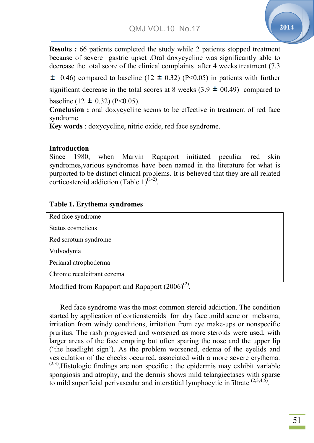$\overline{\phantom{0}}$ 

**Results :** 66 patients completed the study while 2 patients stopped treatment because of severe gastric upset .Oral doxycycline was significantly able to decrease the total score of the clinical complaints after 4 weeks treatment (7.3

0.46) compared to baseline (12  $\pm$  0.32) (P<0.05) in patients with further significant decrease in the total scores at 8 weeks  $(3.9 \pm 00.49)$  compared to baseline (12  $\pm$  0.32) (P<0.05).

**Conclusion :** oral doxycycline seems to be effective in treatment of red face syndrome

Key words : doxycycline, nitric oxide, red face syndrome.

## **Introduction**

Since 1980, when Marvin Rapaport initiated peculiar red skin syndromes,various syndromes have been named in the literature for what is purported to be distinct clinical problems. It is believed that they are all related corticostoroid addiction  $(T_0 h)$ corticosteroid addiction (Table  $1)^{(1-2)}$ .

## **Table 1. Erythema syndromes**

| Red face syndrome                                    |
|------------------------------------------------------|
| Status cosmeticus                                    |
| Red scrotum syndrome                                 |
| Vulvodynia                                           |
| Perianal atrophoderma                                |
| Chronic recalcitrant eczema                          |
| Modified from Rapaport and Rapaport $(2006)^{(2)}$ . |

 Red face syndrome was the most common steroid addiction. The condition started by application of corticosteroids for dry face ,mild acne or melasma, irritation from windy conditions, irritation from eye make-ups or nonspecific pruritus. The rash progressed and worsened as more steroids were used, with larger areas of the face erupting but often sparing the nose and the upper lip ('the headlight sign'). As the problem worsened, edema of the eyelids and vesiculation of the cheeks occurred, associated with a more severe erythema.  $(2,3)$ . Histologic findings are non specific : the epidermis may exhibit variable spongiosis and atrophy, and the dermis shows mild telangiectases with sparse to mild superficial perivascular and interstitial lymphocytic infiltrate  $(2,3,4,5)$ . ation of the cheeks occurred, associated with a more severe erythe<br>tologic findings are non specific : the epidermis may exhibit vari<br>osis and atrophy, and the dermis shows mild telangiectases with sp<br>superficial perivasc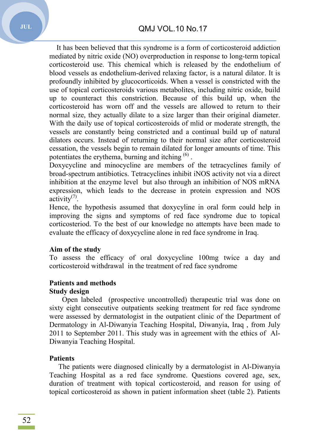It has been believed that this syndrome is a form of corticosteroid addiction mediated by nitric oxide (NO) overproduction in response to long-term topical corticosteroid use. This chemical which is released by the endothelium of blood vessels as endothelium-derived relaxing factor, is a natural dilator. It is profoundly inhibited by glucocorticoids. When a vessel is constricted with the use of topical corticosteroids various metabolites, including nitric oxide, build up to counteract this constriction. Because of this build up, when the corticosteroid has worn off and the vessels are allowed to return to their normal size, they actually dilate to a size larger than their original diameter. With the daily use of topical corticosteroids of mlid or moderate strength, the vessels are constantly being constricted and a continual build up of natural dilators occurs. Instead of returning to their normal size after corticosteroid cessation, the vessels begin to remain dilated for longer amounts of time. This potentiates the erythema, burning and itching <sup>(6)</sup>.

Doxycycline and minocycline are members of the tetracyclines family of broad-spectrum antibiotics. Tetracyclines inhibit iNOS activity not via a direct inhibition at the enzyme level but also through an inhibition of NOS mRNA expression, which leads to the decrease in protein expression and NOS activity $(7)$ .

Hence, the hypothesis assumed that doxycyline in oral form could help in improving the signs and symptoms of red face syndrome due to topical corticosteriod. To the best of our knowledge no attempts have been made to evaluate the efficacy of doxycycline alone in red face syndrome in Iraq.

#### **Aim of the study**

To assess the efficacy of oral doxycycline 100mg twice a day and corticosteroid withdrawal in the treatment of red face syndrome

# **Patients and methods**

#### **Study design**

 Open labeled (prospective uncontrolled) therapeutic trial was done on sixty eight consecutive outpatients seeking treatment for red face syndrome were assessed by dermatologist in the outpatient clinic of the Department of Dermatology in Al-Diwanyia Teaching Hospital, Diwanyia, Iraq , from July 2011 to September 2011. This study was in agreement with the ethics of Al-Diwanyia Teaching Hospital.

#### **Patients**

 The patients were diagnosed clinically by a dermatologist in Al-Diwanyia Teaching Hospital as a red face syndrome. Questions covered age, sex, duration of treatment with topical corticosteroid, and reason for using of topical corticosteroid as shown in patient information sheet (table 2). Patients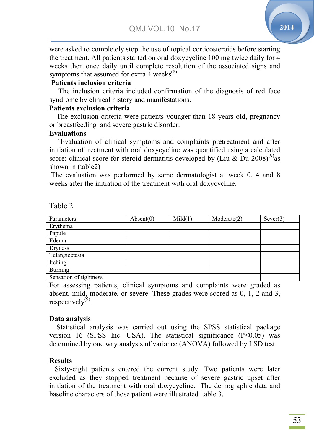$\overline{\phantom{0}}$ 

**2014**

were asked to completely stop the use of topical corticosteroids before starting the treatment. All patients started on oral doxycycline 100 mg twice daily for 4 weeks then once daily until complete resolution of the associated signs and symptoms that assumed for extra  $\overline{4}$  weeks<sup>(8)</sup>.

## **Patients inclusion criteria**

 The inclusion criteria included confirmation of the diagnosis of red face syndrome by clinical history and manifestations.

## **Patients exclusion criteria**

 The exclusion criteria were patients younger than 18 years old, pregnancy or breastfeeding and severe gastric disorder.

## **Evaluations**

**`**Evaluation of clinical symptoms and complaints pretreatment and after initiation of treatment with oral doxycycline was quantified using a calculated score: clinical score for steroid dermatitis developed by (Liu & Du 2008)<sup>(9)</sup>as shown in (table2)

The evaluation was performed by same dermatologist at week 0, 4 and 8 weeks after the initiation of the treatment with oral doxycycline.

| Parameters             | Absent(0) | Mid(1) | Modernet(2) | Sever(3) |
|------------------------|-----------|--------|-------------|----------|
| Erythema               |           |        |             |          |
| Papule                 |           |        |             |          |
| Edema                  |           |        |             |          |
| Dryness                |           |        |             |          |
| Telangiectasia         |           |        |             |          |
| Itching                |           |        |             |          |
| <b>Burning</b>         |           |        |             |          |
| Sensation of tightness |           |        |             |          |

## Table 2

For assessing patients, clinical symptoms and complaints were graded as absent, mild, moderate, or severe. These grades were scored as 0, 1, 2 and 3, respectively $^{(9)}$ .

#### **Data analysis**

 Statistical analysis was carried out using the SPSS statistical package version 16 (SPSS Inc. USA). The statistical significance  $(P<0.05)$  was determined by one way analysis of variance (ANOVA) followed by LSD test.

#### **Results**

 Sixty-eight patients entered the current study. Two patients were later excluded as they stopped treatment because of severe gastric upset after initiation of the treatment with oral doxycycline. The demographic data and baseline characters of those patient were illustrated table 3.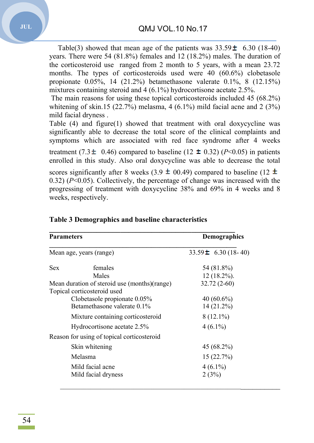Table(3) showed that mean age of the patients was  $33.59 \pm 6.30$  (18-40) years. There were 54 (81.8%) females and 12 (18.2%) males. The duration of the corticosteroid use ranged from 2 month to 5 years, with a mean 23.72 months. The types of corticosteroids used were 40 (60.6%) clobetasole propionate 0.05%, 14 (21.2%) betamethasone valerate 0.1%, 8 (12.15%) mixtures containing steroid and 4 ( 6.1%) hydrocortisone acetate 2.5%.

The main reasons for using these topical corticosteroids included 45 (68.2%) whitening of skin.15  $(22.7%)$  melasma, 4  $(6.1%)$  mild facial acne and 2  $(3%)$ mild facial dryness .

Table (4) and figure(1) showed that treatment with oral doxycycline was significantly able to decrease the total score of the clinical complaints and symptoms which are associated with red face syndrome after 4 weeks

treatment (7.3  $\pm$  0.46) compared to baseline (12  $\pm$  0.32) (*P*<0.05) in patients enrolled in this study. Also oral doxycycline was able to decrease the total

scores significantly after 8 weeks (3.9  $\pm$  00.49) compared to baseline (12 0.32) (*P*<0.05). Collectively, the percentage of change was increased with the progressing of treatment with doxycycline 38% and 69% in 4 weeks and 8 weeks, respectively.

| <b>Parameters</b>                            |                                            | <b>Demographics</b>      |  |
|----------------------------------------------|--------------------------------------------|--------------------------|--|
|                                              | Mean age, years (range)                    | 33.59 $\pm$ 6.30 (18-40) |  |
| Sex                                          | females                                    | 54 (81.8%)               |  |
|                                              | Males                                      | $12(18.2\%)$ .           |  |
| Mean duration of steroid use (months)(range) |                                            | $32.72(2-60)$            |  |
|                                              | Topical corticosteroid used                |                          |  |
|                                              | Clobetasole propionate 0.05%               | 40 $(60.6\%)$            |  |
|                                              | Betamethasone valerate 0.1%                | $14(21.2\%)$             |  |
|                                              | Mixture containing corticosteroid          | $8(12.1\%)$              |  |
|                                              | Hydrocortisone acetate 2.5%                | $4(6.1\%)$               |  |
|                                              | Reason for using of topical corticosteroid |                          |  |
|                                              | Skin whitening                             | 45 (68.2%)               |  |
|                                              | Melasma                                    | 15(22.7%)                |  |
|                                              | Mild facial acne                           | $4(6.1\%)$               |  |
|                                              | Mild facial dryness                        | 2(3%)                    |  |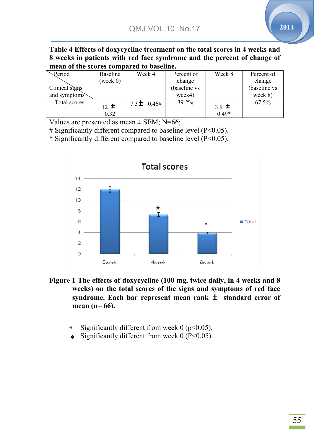$\overline{\phantom{0}}$ 

Table 4 Effects of doxycycline treatment on the total scores in 4 weeks and **8 weeks in patients with red face syndrome and the percent of change of mean of the scores compared to baseline.**

| Period         | Baseline | Week 4          | Percent of   | Week 8    | Percent of   |
|----------------|----------|-----------------|--------------|-----------|--------------|
|                | (week 0) |                 | change       |           | change       |
| Clinical signs |          |                 | (baseline vs |           | (baseline vs |
| and symptoms   |          |                 | week4)       |           | week 8)      |
| Total scores   | $12 \pm$ | $7.3 \pm 0.46#$ | 39.2%        |           | 67.5%        |
|                |          |                 |              | 3.9 $\pm$ |              |
|                | 0.32     |                 |              | $0.49*$   |              |

Values are presented as mean  $\pm$  SEM; N=66;

# Significantly different compared to baseline level (P<0.05).

\* Significantly different compared to baseline level  $(P<0.05)$ .



**Figure 1 The effects of doxycycline (100 mg, twice daily, in 4 weeks and 8 weeks) on the total scores of the signs and symptoms of red face syndrome. Each bar represent mean rank standard error of mean (n= 66).**

- $\frac{1}{2}$  Significantly different from week 0 (p<0.05).  $_{\pm}$
- $\ast$  Significantly different from week 0 (P<0.05).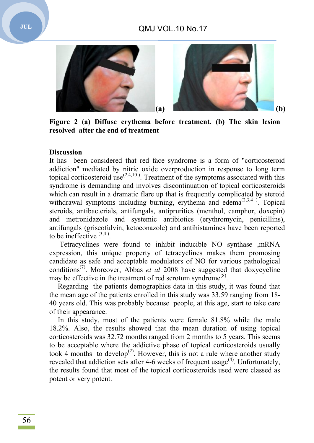# QMJ VOL VOL.10 No.17



Figure 2 (a) Diffuse erythema before treatment. (b) The skin lesion **resolved after the end of treatment**

#### **Discussion**

It has been considered that red face syndrome is a form of "corticosteroid addiction" mediated by nitric oxide overproduction in response to long term topical corticosteroid use<sup> $(2,4,10)$ </sup>. Treatment of the symptoms associated with this syndrome is demanding and involves discontinuation of topical corticosteroids which can result in a dramatic flare up that is frequently complicated by steroid withdrawal symptoms including burning, erythema and edema<sup> $(2,3,4)$ </sup>. Topical steroids, antibacterials, antifungals, antipruritics (menthol, camphor, doxepin) and metronidazole and systemic antibiotics (erythromycin, penicillins), antifungals (griseofulvin, ketoconazole) and antihistamines have been repo reported to be ineffective  $(3,4)$ .

Tetracyclines were found to inhibit inducible NO synthase ,mRNA expression, this unique property of tetracyclines makes them promosing candidate as safe and acceptable modulators of NO for various pathological conditions(7) . Moreover, Abbas *et al* 2008 have suggested that doxycycline may be effective in the treatment of red scrotum syndrome<sup>(8)</sup>.

Regarding the patients demographics data in this study, it was found that the mean age of the patients enrolled in this study was 33.59 ranging from 18- 40 years old. This was probably because people people, at this age, start to take care of their appearance.

In this study, most of the patients were female 81.8% while the male 18.2%. Also, the results showed that the mean duration of using topical corticosteroids was 32.72 months ranged from 2 months to 5 years. This seems to be acceptable where the addictive phase of topical corticosteroids usually took 4 months to develop<sup>(2)</sup>. However, this is not a rule where another study revealed that addiction sets after 4-6 weeks of frequent usage<sup> $(4)$ </sup>. Unfortunately, the results found that most of the topical corticosteroids used were classed as potent or very potent.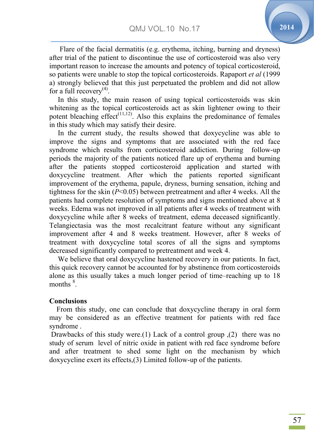$\overline{\phantom{0}}$ 

Flare of the facial dermatitis (e.g. erythema, itching, burning and dryness) after trial of the patient to discontinue the use of corticosteroid was also very important reason to increase the amounts and potency of topical corticosteroid, so patients were unable to stop the topical corticosteroids. Rapaport *et al* (1999 a) strongly believed that this just perpetuated the problem and did not allow for a full recovery<sup>(4)</sup>.

In this study, the main reason of using topical corticosteroids was skin whitening as the topical corticosteroids act as skin lightener owing to their potent bleaching effect<sup> $(11,12)$ </sup>. Also this explains the predominance of females in this study which may satisfy their desire.

In the current study, the results showed that doxycycline was able to improve the signs and symptoms that are associated with the red face syndrome which results from corticosteroid addiction. During follow-up periods the majority of the patients noticed flare up of erythema and burning after the patients stopped corticosteroid application and started with doxycycline treatment. After which the patients reported significant improvement of the erythema, papule, dryness, burning sensation, itching and tightness for the skin (*P*<0.05) between pretreatment and after 4 weeks. All the patients had complete resolution of symptoms and signs mentioned above at 8 weeks. Edema was not improved in all patients after 4 weeks of treatment with doxycycline while after 8 weeks of treatment, edema deceased significantly. Telangiectasia was the most recalcitrant feature without any significant improvement after 4 and 8 weeks treatment. However, after 8 weeks of treatment with doxycycline total scores of all the signs and symptoms decreased significantly compared to pretreatment and week 4.

We believe that oral doxycycline hastened recovery in our patients. In fact, this quick recovery cannot be accounted for by abstinence from corticosteroids alone as this usually takes a much longer period of time–reaching up to 18 months  $^8$ .

#### **Conclusions**

 From this study, one can conclude that doxycycline therapy in oral form may be considered as an effective treatment for patients with red face syndrome .

Drawbacks of this study were.(1) Lack of a control group ,(2) there was no study of serum level of nitric oxide in patient with red face syndrome before and after treatment to shed some light on the mechanism by which doxycycline exert its effects,(3) Limited follow-up of the patients.